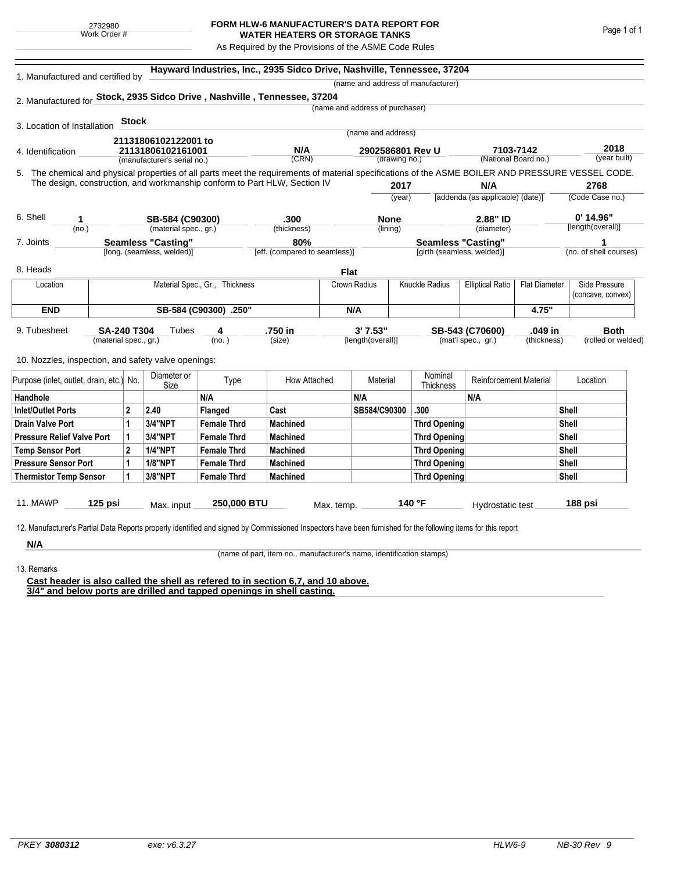## **FORM HLW-6 MANUFACTURER'S DATA REPORT FOR WATER HEATERS OR STORAGE TANKS**

As Required by the Provisions of the ASME Code Rules

| 1. Manufactured and certified by                                                                                                                   |                             |                            |                                | Hayward Industries, Inc., 2935 Sidco Drive, Nashville, Tennessee, 37204 |                                   |                         |                                    |                                  |                      |                        |
|----------------------------------------------------------------------------------------------------------------------------------------------------|-----------------------------|----------------------------|--------------------------------|-------------------------------------------------------------------------|-----------------------------------|-------------------------|------------------------------------|----------------------------------|----------------------|------------------------|
|                                                                                                                                                    |                             |                            |                                |                                                                         |                                   |                         | (name and address of manufacturer) |                                  |                      |                        |
| 2. Manufactured for Stock, 2935 Sidco Drive, Nashville, Tennessee, 37204                                                                           |                             |                            |                                |                                                                         |                                   |                         |                                    |                                  |                      |                        |
|                                                                                                                                                    |                             |                            |                                |                                                                         | (name and address of purchaser)   |                         |                                    |                                  |                      |                        |
| 3. Location of Installation                                                                                                                        | <b>Stock</b>                |                            |                                |                                                                         |                                   |                         |                                    |                                  |                      |                        |
|                                                                                                                                                    |                             | 21131806102122001 to       |                                |                                                                         | (name and address)                |                         |                                    |                                  |                      |                        |
| 4. Identification                                                                                                                                  |                             | 21131806102161001          |                                | N/A                                                                     | 2902586801 Rev U<br>(drawing no.) |                         |                                    | 7103-7142                        |                      | 2018                   |
|                                                                                                                                                    | (manufacturer's serial no.) |                            | (CRN)                          |                                                                         |                                   |                         |                                    |                                  | (National Board no.) | (year built)           |
| 5. The chemical and physical properties of all parts meet the requirements of material specifications of the ASME BOILER AND PRESSURE VESSEL CODE. |                             |                            |                                |                                                                         |                                   |                         |                                    |                                  |                      |                        |
| The design, construction, and workmanship conform to Part HLW, Section IV                                                                          |                             |                            |                                |                                                                         |                                   | 2017                    |                                    | N/A                              |                      | 2768                   |
|                                                                                                                                                    |                             |                            |                                |                                                                         |                                   | (year)                  |                                    | [addenda (as applicable) (date)] |                      | (Code Case no.)        |
| 6. Shell<br>1                                                                                                                                      |                             | SB-584 (C90300)            |                                | .300                                                                    |                                   | <b>None</b><br>(lining) |                                    | 2.88" ID<br>(diameter)           |                      | $0'$ 14.96"            |
| (no.)                                                                                                                                              |                             |                            | (material spec., gr.)          |                                                                         |                                   |                         |                                    |                                  |                      | [length(overall)]      |
| 7. Joints                                                                                                                                          |                             | <b>Seamless "Casting"</b>  |                                | 80%                                                                     |                                   |                         |                                    | <b>Seamless "Casting"</b>        |                      | 1                      |
|                                                                                                                                                    |                             | [long. (seamless, welded)] |                                | [eff. (compared to seamless)]                                           |                                   |                         | [girth (seamless, welded)]         |                                  |                      | (no. of shell courses) |
| 8. Heads                                                                                                                                           |                             |                            |                                |                                                                         | Flat                              |                         |                                    |                                  |                      |                        |
| Location                                                                                                                                           |                             |                            | Material Spec., Gr., Thickness |                                                                         | Crown Radius                      |                         | Knuckle Radius                     | <b>Elliptical Ratio</b>          | <b>Flat Diameter</b> | Side Pressure          |
|                                                                                                                                                    |                             |                            |                                |                                                                         |                                   |                         |                                    |                                  | (concave, convex)    |                        |
| <b>END</b>                                                                                                                                         | SB-584 (C90300) .250"       |                            |                                |                                                                         |                                   | N/A                     |                                    |                                  | 4.75"                |                        |
| 9. Tubesheet<br><b>SA-240 T304</b>                                                                                                                 |                             | Tubes<br>4                 |                                | .750 in                                                                 |                                   | 3' 7.53"                |                                    | SB-543 (C70600)                  | .049 in              | Both                   |
|                                                                                                                                                    | (material spec., gr.)       |                            | (no. )                         | (size)                                                                  | [length(overall)]                 |                         |                                    | (mat'l spec., gr.)               | (thickness)          | (rolled or welded)     |
|                                                                                                                                                    |                             |                            |                                |                                                                         |                                   |                         |                                    |                                  |                      |                        |
| 10. Nozzles, inspection, and safety valve openings:                                                                                                |                             |                            |                                |                                                                         |                                   |                         |                                    |                                  |                      |                        |
| Purpose (inlet, outlet, drain, etc.) No.                                                                                                           |                             | Diameter or<br>Size        | Type                           | How Attached                                                            |                                   | Material                | Nominal<br><b>Thickness</b>        | <b>Reinforcement Material</b>    |                      | Location               |
| Handhole                                                                                                                                           |                             |                            | N/A                            |                                                                         | N/A                               |                         |                                    | N/A                              |                      |                        |
| <b>Inlet/Outlet Ports</b>                                                                                                                          | $\mathbf 2$                 | 2.40                       | Flanged                        | Cast                                                                    | SB584/C90300                      |                         | .300                               |                                  |                      | Shell                  |
| <b>Drain Valve Port</b>                                                                                                                            | 1                           | <b>3/4"NPT</b>             | <b>Female Thrd</b>             | <b>Machined</b>                                                         |                                   |                         | <b>Thrd Opening</b>                |                                  |                      | Shell                  |
| <b>Pressure Relief Valve Port</b>                                                                                                                  | 1                           | 3/4"NPT                    | <b>Female Thrd</b>             | <b>Machined</b>                                                         |                                   |                         | Thrd Opening                       |                                  |                      | Shell                  |
| <b>Temp Sensor Port</b>                                                                                                                            |                             | <b>1/4"NPT</b>             | <b>Female Thrd</b>             | <b>Machined</b>                                                         |                                   |                         | <b>Thrd Opening</b>                |                                  |                      | Shell                  |
| <b>Pressure Sensor Port</b>                                                                                                                        |                             | <b>1/8"NPT</b>             | <b>Female Thrd</b>             | <b>Machined</b>                                                         |                                   |                         | Thrd Opening                       |                                  |                      | Shell                  |
| <b>Thermistor Temp Sensor</b>                                                                                                                      | 1                           | 3/8"NPT                    | <b>Female Thrd</b>             | <b>Machined</b>                                                         |                                   |                         | <b>Thrd Opening</b>                |                                  |                      | Shell                  |
|                                                                                                                                                    |                             |                            |                                |                                                                         |                                   |                         |                                    |                                  |                      |                        |
| <b>11. MAWP</b><br>125 psi                                                                                                                         |                             | Max. input                 | 250,000 BTU                    |                                                                         | Max. temp.                        |                         | 140 °F                             | Hydrostatic test                 |                      | 188 psi                |
|                                                                                                                                                    |                             |                            |                                |                                                                         |                                   |                         |                                    |                                  |                      |                        |

**N/A** 13. Remarks

(name of part, item no., manufacturer's name, identification stamps)

**Cast header is also called the shell as refered to in section 6,7, and 10 above. 3/4" and below ports are drilled and tapped openings in shell casting.**

Page 1 of 1